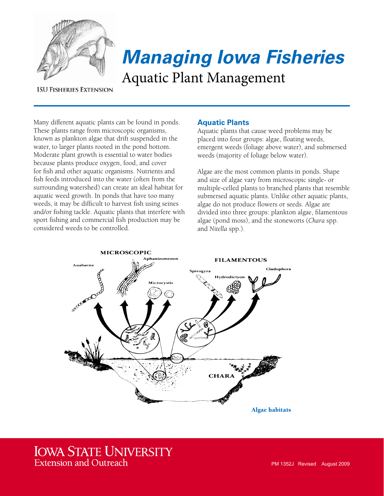

# *Managing Iowa Fisheries* Aquatic Plant Management

#### **ISU FISHERIES EXTENSION**

Many different aquatic plants can be found in ponds. These plants range from microscopic organisms, known as plankton algae that drift suspended in the water, to larger plants rooted in the pond bottom. Moderate plant growth is essential to water bodies because plants produce oxygen, food, and cover for fish and other aquatic organisms. Nutrients and fish feeds introduced into the water (often from the surrounding watershed) can create an ideal habitat for aquatic weed growth. In ponds that have too many weeds, it may be difficult to harvest fish using seines and/or fishing tackle. Aquatic plants that interfere with sport fishing and commercial fish production may be considered weeds to be controlled.

#### **Aquatic Plants**

Aquatic plants that cause weed problems may be placed into four groups: algae, floating weeds, emergent weeds (foliage above water), and submersed weeds (majority of foliage below water).

Algae are the most common plants in ponds. Shape and size of algae vary from microscopic single- or multiple-celled plants to branched plants that resemble submersed aquatic plants. Unlike other aquatic plants, algae do not produce flowers or seeds. Algae are divided into three groups: plankton algae, filamentous algae (pond moss), and the stoneworts (*Chara* spp. and *Nitella* spp.).



## **IOWA STATE UNIVERSITY Extension and Outreach**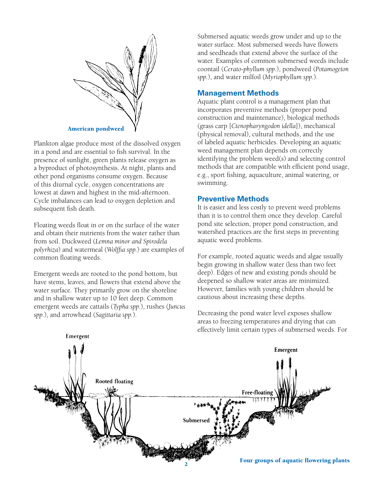

Plankton algae produce most of the dissolved oxygen in a pond and are essential to fish survival. In the presence of sunlight, green plants release oxygen as a byproduct of photosynthesis. At night, plants and other pond organisms consume oxygen. Because of this diurnal cycle, oxygen concentrations are lowest at dawn and highest in the mid-afternoon. Cycle imbalances can lead to oxygen depletion and subsequent fish death.

Floating weeds float in or on the surface of the water and obtain their nutrients from the water rather than from soil. Duckweed (*Lemna minor and Spirodela polyrhiza*) and watermeal (*Wolffia spp.*) are examples of common floating weeds.

Emergent weeds are rooted to the pond bottom, but have stems, leaves, and flowers that extend above the water surface. They primarily grow on the shoreline and in shallow water up to 10 feet deep. Common emergent weeds are cattails (*Typha spp.*), rushes (*Juncus spp.*), and arrowhead (*Sagittaria spp.*).

Submersed aquatic weeds grow under and up to the water surface. Most submersed weeds have flowers and seedheads that extend above the surface of the water. Examples of common submersed weeds include coontail (*Cerato-phyllum spp.*), pondweed (*Potamogeton spp.*), and water milfoil (*Myriophyllum spp.*).

#### **Management Methods**

Aquatic plant control is a management plan that incorporates preventive methods (proper pond construction and maintenance), biological methods (grass carp [*Ctenopharyngodon idella*]), mechanical (physical removal), cultural methods, and the use of labeled aquatic herbicides. Developing an aquatic weed management plan depends on correctly identifying the problem weed(s) and selecting control methods that are compatible with efficient pond usage, e.g., sport fishing, aquaculture, animal watering, or swimming.

#### **Preventive Methods**

It is easier and less costly to prevent weed problems than it is to control them once they develop. Careful pond site selection, proper pond construction, and watershed practices are the first steps in preventing aquatic weed problems.

For example, rooted aquatic weeds and algae usually begin growing in shallow water (less than two feet deep). Edges of new and existing ponds should be deepened so shallow water areas are minimized. However, families with young children should be cautious about increasing these depths.



Decreasing the pond water level exposes shallow areas to freezing temperatures and drying that can effectively limit certain types of submersed weeds. For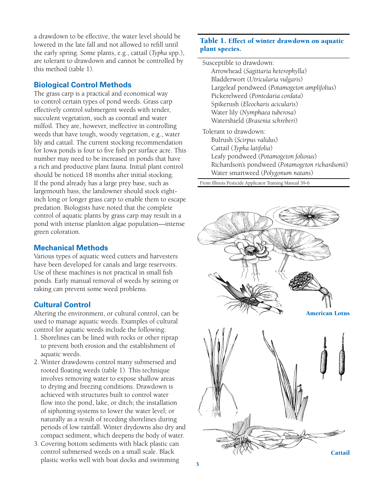a drawdown to be effective, the water level should be lowered in the late fall and not allowed to refill until the early spring. Some plants, e.g., cattail (*Typha* spp.), are tolerant to drawdown and cannot be controlled by this method (table 1).

## **Biological Control Methods**

The grass carp is a practical and economical way to control certain types of pond weeds. Grass carp effectively control submergent weeds with tender, succulent vegetation, such as coontail and water milfoil. They are, however, ineffective in controlling weeds that have tough, woody vegetation, e.g., water lily and cattail. The current stocking recommendation for Iowa ponds is four to five fish per surface acre. This number may need to be increased in ponds that have a rich and productive plant fauna. Initial plant control should be noticed 18 months after initial stocking. If the pond already has a large prey base, such as largemouth bass, the landowner should stock eightinch long or longer grass carp to enable them to escape predation. Biologists have noted that the complete control of aquatic plants by grass carp may result in a pond with intense plankton algae population—intense green coloration.

#### **Mechanical Methods**

Various types of aquatic weed cutters and harvesters have been developed for canals and large reservoirs. Use of these machines is not practical in small fish ponds. Early manual removal of weeds by seining or raking can prevent some weed problems.

## **Cultural Control**

Altering the environment, or cultural control, can be used to manage aquatic weeds. Examples of cultural control for aquatic weeds include the following:

- 1. Shorelines can be lined with rocks or other riprap to prevent both erosion and the establishment of aquatic weeds.
- 2. Winter drawdowns control many submersed and rooted floating weeds (table 1). This technique involves removing water to expose shallow areas to drying and freezing conditions. Drawdown is achieved with structures built to control water flow into the pond, lake, or ditch; the installation of siphoning systems to lower the water level; or naturally as a result of receding shorelines during periods of low rainfall. Winter drydowns also dry and compact sediment, which deepens the body of water.
- 3. Covering bottom sediments with black plastic can control submersed weeds on a small scale. Black plastic works well with boat docks and swimming

#### Table 1. Effect of winter drawdown on aquatic plant species.

Susceptible to drawdown: Arrowhead (*Sagittaria heterophylla*) Bladderwort (*Utricularia vulgaris*) Largeleaf pondweed (*Potamogeton amplifolius*) Pickerelweed (*Pontedaria cordata*) Spikerush (*Eleocharis acicularis*) Water lily (*Nymphaea tuberosa*) Watershield (*Brasenia schreberi*)

Tolerant to drawdown: Bulrush (*Scirpus validus*) Cattail (*Typha latifolia*) Leafy pondweed (*Potamogeton foliosus*) Richardson's pondweed (*Potamogeton richardsonii*) Water smartweed (*Polygonum natans*)

From Illinois Pesticide Applicator Training Manual 39-6

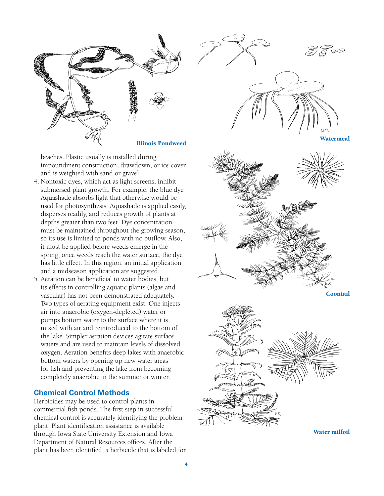

.<br>© P

**Watermeal** 

beaches. Plastic usually is installed during impoundment construction, drawdown, or ice cover and is weighted with sand or gravel. 4. Nontoxic dyes, which act as light screens, inhibit

- submersed plant growth. For example, the blue dye Aquashade absorbs light that otherwise would be used for photosynthesis. Aquashade is applied easily, disperses readily, and reduces growth of plants at depths greater than two feet. Dye concentration must be maintained throughout the growing season, so its use is limited to ponds with no outflow. Also, it must be applied before weeds emerge in the spring; once weeds reach the water surface, the dye has little effect. In this region, an initial application and a midseason application are suggested.
- 5. Aeration can be beneficial to water bodies, but its effects in controlling aquatic plants (algae and vascular) has not been demonstrated adequately. Two types of aerating equipment exist. One injects air into anaerobic (oxygen-depleted) water or pumps bottom water to the surface where it is mixed with air and reintroduced to the bottom of the lake. Simpler aeration devices agitate surface waters and are used to maintain levels of dissolved oxygen. Aeration benefits deep lakes with anaerobic bottom waters by opening up new water areas for fish and preventing the lake from becoming completely anaerobic in the summer or winter.

## **Chemical Control Methods**

Herbicides may be used to control plants in commercial fish ponds. The first step in successful chemical control is accurately identifying the problem plant. Plant identification assistance is available through Iowa State University Extension and Iowa Department of Natural Resources offices. After the plant has been identified, a herbicide that is labeled for



Coontail



Water milfoil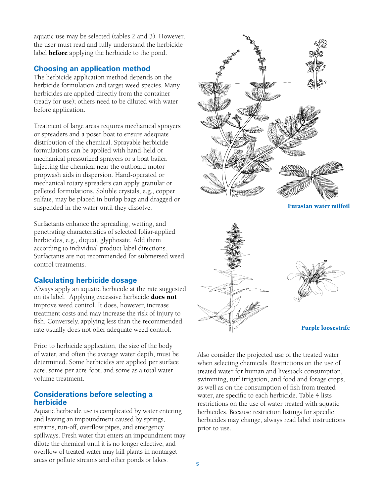aquatic use may be selected (tables 2 and 3). However, the user must read and fully understand the herbicide label **before** applying the herbicide to the pond.

#### **Choosing an application method**

The herbicide application method depends on the herbicide formulation and target weed species. Many herbicides are applied directly from the container (ready for use); others need to be diluted with water before application.

Treatment of large areas requires mechanical sprayers or spreaders and a poser boat to ensure adequate distribution of the chemical. Sprayable herbicide formulations can be applied with hand-held or mechanical pressurized sprayers or a boat bailer. Injecting the chemical near the outboard motor propwash aids in dispersion. Hand-operated or mechanical rotary spreaders can apply granular or pelleted formulations. Soluble crystals, e.g., copper sulfate, may be placed in burlap bags and dragged or suspended in the water until they dissolve.

Surfactants enhance the spreading, wetting, and penetrating characteristics of selected foliar-applied herbicides, e.g., diquat, glyphosate. Add them according to individual product label directions. Surfactants are not recommended for submersed weed control treatments.

## **Calculating herbicide dosage**

Always apply an aquatic herbicide at the rate suggested on its label. Applying excessive herbicide does not improve weed control. It does, however, increase treatment costs and may increase the risk of injury to fish. Conversely, applying less than the recommended rate usually does not offer adequate weed control.

Prior to herbicide application, the size of the body of water, and often the average water depth, must be determined. Some herbicides are applied per surface acre, some per acre-foot, and some as a total water volume treatment.

#### **Considerations before selecting a herbicide**

Aquatic herbicide use is complicated by water entering and leaving an impoundment caused by springs, streams, run-off, overflow pipes, and emergency spillways. Fresh water that enters an impoundment may dilute the chemical until it is no longer effective, and overflow of treated water may kill plants in nontarget areas or pollute streams and other ponds or lakes.



Eurasian water milfoil





Also consider the projected use of the treated water when selecting chemicals. Restrictions on the use of treated water for human and livestock consumption, swimming, turf irrigation, and food and forage crops, as well as on the consumption of fish from treated water, are specific to each herbicide. Table 4 lists restrictions on the use of water treated with aquatic herbicides. Because restriction listings for specific herbicides may change, always read label instructions prior to use.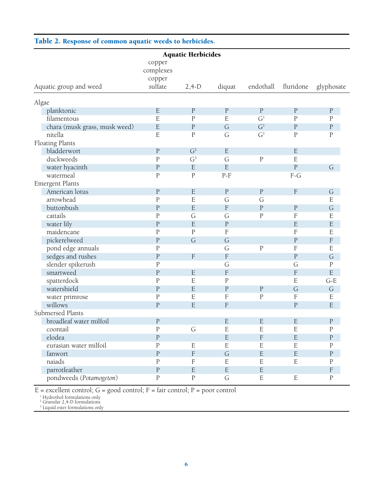#### Table 2. Response of common aquatic weeds to herbicides.

| <b>Aquatic Herbicides</b>                |                               |                               |                           |                |                           |                         |  |  |  |  |  |  |
|------------------------------------------|-------------------------------|-------------------------------|---------------------------|----------------|---------------------------|-------------------------|--|--|--|--|--|--|
|                                          | copper<br>complexes<br>copper |                               |                           |                |                           |                         |  |  |  |  |  |  |
| Aquatic group and weed                   | sulfate                       | $2,4-D$                       | diquat                    | endothall      | fluridone                 | glyphosate              |  |  |  |  |  |  |
|                                          |                               |                               |                           |                |                           |                         |  |  |  |  |  |  |
| Algae                                    | ${\bf E}$                     | $\rm P$                       | ${\bf P}$                 | $\rm P$        | $\rm P$                   |                         |  |  |  |  |  |  |
| planktonic<br>filamentous                | E                             | $\mathbf P$                   | E                         | G <sup>1</sup> | $\mathbf P$               | ${\bf P}$<br>${\bf P}$  |  |  |  |  |  |  |
|                                          | $\mathbf E$                   | ${\bf P}$                     | G                         | G <sup>1</sup> |                           |                         |  |  |  |  |  |  |
| chara (musk grass, musk weed)<br>nitella | E                             | $\mathbf P$                   | G                         | G <sup>1</sup> | ${\bf P}$<br>$\rm P$      | $\rm P$<br>${\bf P}$    |  |  |  |  |  |  |
|                                          |                               |                               |                           |                |                           |                         |  |  |  |  |  |  |
| Floating Plants                          |                               | G <sup>2</sup>                | ${\bf E}$                 |                |                           |                         |  |  |  |  |  |  |
| bladderwort                              | $\mathbf{P}$                  |                               |                           |                | $\mathbf E$               |                         |  |  |  |  |  |  |
| duckweeds                                | $\rm P$<br>$\mathbf P$        | G <sup>3</sup><br>$\mathbf E$ | G<br>E                    | ${\bf P}$      | E<br>$\overline{P}$       |                         |  |  |  |  |  |  |
| water hyacinth                           |                               |                               |                           |                |                           | G                       |  |  |  |  |  |  |
| watermeal                                | $\mathbf P$                   | ${\bf P}$                     | $P-F$                     |                | $F-G$                     |                         |  |  |  |  |  |  |
| Emergent Plants                          |                               |                               |                           |                |                           |                         |  |  |  |  |  |  |
| American lotus                           | $\rm P$<br>$\mathbf P$        | $\mathbf E$                   | $\rm P$                   | ${\bf P}$      | $\boldsymbol{\mathrm{F}}$ | G                       |  |  |  |  |  |  |
| arrowhead                                |                               | $\mathbf E$                   | G                         | G              |                           | ${\bf E}$               |  |  |  |  |  |  |
| buttonbush                               | $\rm P$                       | $\mathbf E$                   | $\boldsymbol{\mathrm{F}}$ | ${\bf P}$      | $\rm P$                   | G                       |  |  |  |  |  |  |
| cattails                                 | $\mathbf P$                   | G                             | G                         | ${\bf P}$      | $\mathbf F$               | E                       |  |  |  |  |  |  |
| water lily                               | $\mathbf P$                   | $\mathbf E$                   | ${\bf P}$                 |                | $\mathbf E$               | $\mathbf E$             |  |  |  |  |  |  |
| maidencane                               | $\mathbf P$                   | $\rm P$                       | $\mathbf F$               |                | $\mathbf F$               | $\mathbf E$             |  |  |  |  |  |  |
| pickerelweed                             | $\overline{P}$                | G                             | G                         |                | ${\bf P}$                 | $\mathbf F$             |  |  |  |  |  |  |
| pond edge annuals                        | $\mathbf P$                   |                               | G                         | $\mathbf P$    | $\mathbf F$               | $\mathbf E$             |  |  |  |  |  |  |
| sedges and rushes                        | $\mathbf P$                   | $\boldsymbol{\mathrm{F}}$     | $\mathbf F$               |                | $\rm P$                   | G                       |  |  |  |  |  |  |
| slender spikerush                        | $\mathbf P$                   |                               | G                         |                | G                         | ${\bf P}$               |  |  |  |  |  |  |
| smartweed                                | $\overline{P}$                | $\mathbf E$                   | $\mathbf F$               |                | $\mathbf F$               | $\overline{\mathrm{E}}$ |  |  |  |  |  |  |
| spatterdock                              | $\mathbf P$                   | $\mathbf E$                   | $\rm P$                   |                | E                         | $G-E$                   |  |  |  |  |  |  |
| watershield                              | $\rm P$                       | $\mathbf E$                   | ${\bf P}$                 | $\rm P$        | G                         | G                       |  |  |  |  |  |  |
| water primrose                           | $\mathbf P$                   | $\mathbf E$                   | $\mathbf F$               | $\mathbf P$    | $\mathbf F$               | ${\bf E}$               |  |  |  |  |  |  |
| willows                                  | $\mathbf P$                   | E                             | $\mathbf F$               |                | ${\bf P}$                 | $\mathbf E$             |  |  |  |  |  |  |
| Submersed Plants                         |                               |                               |                           |                |                           |                         |  |  |  |  |  |  |
| broadleaf water milfoil                  | $\mathbf P$                   |                               | E                         | $\mathbf E$    | E                         | ${\bf P}$               |  |  |  |  |  |  |
| coontail                                 | $\mathbf P$                   | G                             | ${\bf E}$                 | $\mathbf E$    | ${\bf E}$                 | ${\bf P}$               |  |  |  |  |  |  |
| elodea                                   | ${\bf P}$                     |                               | ${\bf E}$                 | $\mathbf F$    | ${\bf E}$                 | ${\bf P}$               |  |  |  |  |  |  |
| eurasian water milfoil                   | ${\bf P}$                     | ${\bf E}$                     | ${\bf E}$                 | $\mathbf E$    | ${\bf E}$                 | ${\bf P}$               |  |  |  |  |  |  |
| fanwort                                  | $\mathbf{P}$                  | $\rm F$                       | G                         | $\mathbf E$    | $\mathbf E$               | ${\bf P}$               |  |  |  |  |  |  |
| naiads                                   | $\rm P$                       | $\mathbf F$                   | E                         | $\mathbf E$    | ${\bf E}$                 | $\rm P$                 |  |  |  |  |  |  |
| parrotfeather                            | ${\bf P}$                     | $\mathbf E$                   | $\mathbf E$               | $\mathbf E$    |                           | $\mathbf F$             |  |  |  |  |  |  |
| pondweeds (Potamogeton)                  | ${\bf P}$                     | ${\bf P}$                     | G                         | ${\bf E}$      | $\mathbf E$               | ${\bf P}$               |  |  |  |  |  |  |

E = excellent control; G = good control; F = fair control; P = poor control<br>  $^{1}$  Hydrothol formulations only<br>  $^{2}$  Granular 2,4-D formulations<br>  $^{3}$  Liquid ester formulations only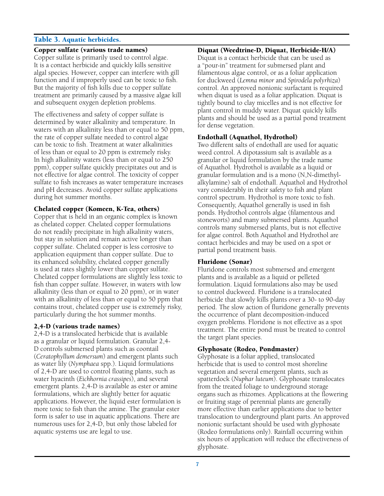#### Table 3. Aquatic herbicides.

#### Copper sulfate (various trade names)

Copper sulfate is primarily used to control algae. It is a contact herbicide and quickly kills sensitive algal species. However, copper can interfere with gill function and if improperly used can be toxic to fish. But the majority of fish kills due to copper sulfate treatment are primarily caused by a massive algae kill and subsequent oxygen depletion problems.

The effectiveness and safety of copper sulfate is determined by water alkalinity and temperature. In waters with an alkalinity less than or equal to 50 ppm, the rate of copper sulfate needed to control algae can be toxic to fish. Treatment at water alkalinities of less than or equal to 20 ppm is extremely risky. In high alkalinity waters (less than or equal to 250 ppm), copper sulfate quickly precipitates out and is not effective for algae control. The toxicity of copper sulfate to fish increases as water temperature increases and pH decreases. Avoid copper sulfate applications during hot summer months.

#### Chelated copper (Komeen, K-Tea, others)

Copper that is held in an organic complex is known as chelated copper. Chelated copper formulations do not readily precipitate in high alkalinity waters, but stay in solution and remain active longer than copper sulfate. Chelated copper is less corrosive to application equipment than copper sulfate. Due to its enhanced solubility, chelated copper generally is used at rates slightly lower than copper sulfate. Chelated copper formulations are slightly less toxic to fish than copper sulfate. However, in waters with low alkalinity (less than or equal to 20 ppm), or in water with an alkalinity of less than or equal to 50 ppm that contains trout, chelated copper use is extremely risky, particularly during the hot summer months.

#### 2,4-D (various trade names)

2,4-D is a translocated herbicide that is available as a granular or liquid formulation. Granular 2,4- D controls submersed plants such as coontail (*Ceratophyllum demersum*) and emergent plants such as water lily (*Nymphaea* spp.). Liquid formulations of 2,4-D are used to control floating plants, such as water hyacinth (*Eichhornia crassipes*), and several emergent plants. 2,4-D is available as ester or amine formulations, which are slightly better for aquatic applications. However, the liquid ester formulation is more toxic to fish than the amine. The granular ester form is safer to use in aquatic applications. There are numerous uses for 2,4-D, but only those labeled for aquatic systems use are legal to use.

#### Diquat (Weedtrine-D, Diquat, Herbicide-H/A)

Diquat is a contact herbicide that can be used as a "pour-in" treatment for submersed plant and filamentous algae control, or as a foliar application for duckweed (*Lemna minor* and *Spirodela polyrhiza*) control. An approved nonionic surfactant is required when diquat is used as a foliar application. Diquat is tightly bound to clay micelles and is not effective for plant control in muddy water. Diquat quickly kills plants and should be used as a partial pond treatment for dense vegetation.

#### Endothall (Aquathol, Hydrothol)

Two different salts of endothall are used for aquatic weed control. A dipotassium salt is available as a granular or liquid formulation by the trade name of Aquathol. Hydrothol is available as a liquid or granular formulation and is a mono (N,N-dimethylalkylamine) salt of endothall. Aquathol and Hydrothol vary considerably in their safety to fish and plant control spectrum. Hydrothol is more toxic to fish. Consequently, Aquathol generally is used in fish ponds. Hydrothol controls algae (filamentous and stoneworts) and many submersed plants. Aquathol controls many submersed plants, but is not effective for algae control. Both Aquathol and Hydrothol are contact herbicides and may be used on a spot or partial pond treatment basis.

#### Fluridone (Sonar)

Fluridone controls most submersed and emergent plants and is available as a liquid or pelleted formulation. Liquid formulations also may be used to control duckweed. Fluridone is a translocated herbicide that slowly kills plants over a 30- to 90-day period. The slow action of fluridone generally prevents the occurrence of plant decomposition-induced oxygen problems. Floridone is not effective as a spot treatment. The entire pond must be treated to control the target plant species.

#### Glyphosate (Rodeo, Pondmaster)

Glyphosate is a foliar applied, translocated herbicide that is used to control most shoreline vegetation and several emergent plants, such as spatterdock (*Nuphar luteum*). Glyphosate translocates from the treated foliage to underground storage organs such as rhizomes. Applications at the flowering or fruiting stage of perennial plants are generally more effective than earlier applications due to better translocation to underground plant parts. An approved nonionic surfactant should be used with glyphosate (Rodeo formulations only). Rainfall occurring within six hours of application will reduce the effectiveness of glyphosate.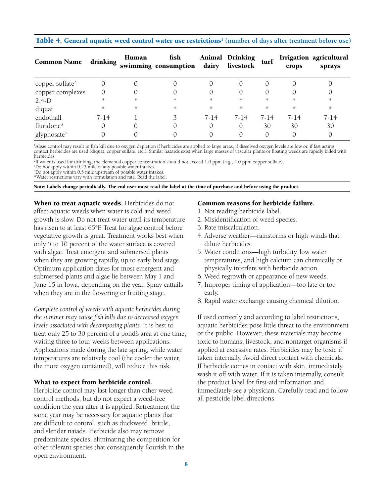#### Table 4. General aquatic weed control water use restrictions<sup>1</sup> (number of days after treatment before use)

| <b>Common Name</b>          | drinking | Human | fish<br>swimming consumption dairy |          | <b>Animal Drinking</b><br>livestock | turf             | crops    | Irrigation agricultural<br>sprays |
|-----------------------------|----------|-------|------------------------------------|----------|-------------------------------------|------------------|----------|-----------------------------------|
| copper sulfate <sup>2</sup> |          |       |                                    |          |                                     | $\left( \right)$ |          |                                   |
| copper complexes            | 0        |       |                                    |          |                                     |                  |          |                                   |
| $2,4-D$                     | *        | *     | $\ast$                             | *        | *                                   | *                | $\ast$   | *                                 |
| diquat                      | *        | *     | $\ast$                             | *        | *                                   | $\ast$           | *        | *                                 |
| endothall                   | $7 - 14$ |       |                                    | $7 - 14$ | 7-14                                | $7 - 14$         | $7 - 14$ | 7-14                              |
| fluridone <sup>3</sup>      |          |       |                                    |          |                                     | 30               | 30       | 30                                |
| glyphosate <sup>4</sup>     |          |       |                                    |          |                                     | $\Omega$         |          |                                   |

1 Algae control may result in fish kill due to oxygen depletion if herbicides are applied to large areas, if dissolved oxygen levels are low or, if fast acting contact herbicides are used (diquat, copper sulfate, etc.). Similar hazards exist when large masses of vascular plants or floating weeds are rapidly killed with herbicides.

2 If water is used for drinking, the elemental copper concentration should not exceed 1.0 ppm (e.g., 4.0 ppm copper sulfate).

3 Do not apply within 0.25 mile of any potable water intakes.

4 Do not apply within 0.5 mile upstream of potable water intakes.

\*Water restrictions vary with formulation and rate. Read the label.

Note: Labels change periodically. The end user must read the label at the time of purchase and before using the product.

When to treat aquatic weeds. Herbicides do not affect aquatic weeds when water is cold and weed growth is slow. Do not treat water until its temperature has risen to at least 65°F. Treat for algae control before vegetative growth is great. Treatment works best when only 5 to 10 percent of the water surface is covered with algae. Treat emergent and submersed plants when they are growing rapidly, up to early bud stage. Optimum application dates for most emergent and submersed plants and algae lie between May 1 and June 15 in Iowa, depending on the year. Spray cattails when they are in the flowering or fruiting stage.

*Complete control of weeds with aquatic herbicides during the summer may cause fish kills due to decreased oxygen levels associated with decomposing plants.* It is best to treat only 25 to 30 percent of a pond's area at one time, waiting three to four weeks between applications. Applications made during the late spring, while water temperatures are relatively cool (the cooler the water, the more oxygen contained), will reduce this risk.

#### What to expect from herbicide control.

Herbicide control may last longer than other weed control methods, but do not expect a weed-free condition the year after it is applied. Retreatment the same year may be necessary for aquatic plants that are difficult to control, such as duckweed, brittle, and slender naiads. Herbicide also may remove predominate species, eliminating the competition for other tolerant species that consequently flourish in the open environment.

#### Common reasons for herbicide failure.

- 1. Not reading herbicide label.
- 2. Misidentification of weed species.
- 3. Rate miscalculation.
- 4. Adverse weather—rainstorms or high winds that dilute herbicides.
- 5. Water conditions—high turbidity, low water temperatures, and high calcium can chemically or physically interfere with herbicide action.
- 6. Weed regrowth or appearance of new weeds.
- 7. Improper timing of application—too late or too early.
- 8. Rapid water exchange causing chemical dilution.

If used correctly and according to label restrictions, aquatic herbicides pose little threat to the environment or the public. However, these materials may become toxic to humans, livestock, and nontarget organisms if applied at excessive rates. Herbicides may be toxic if taken internally. Avoid direct contact with chemicals. If herbicide comes in contact with skin, immediately wash it off with water. If it is taken internally, consult the product label for first-aid information and immediately see a physician. Carefully read and follow all pesticide label directions.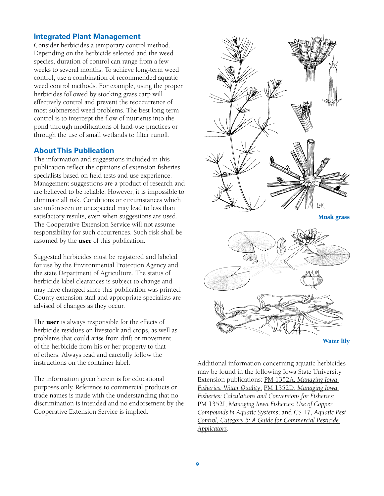#### **Integrated Plant Management**

Consider herbicides a temporary control method. Depending on the herbicide selected and the weed species, duration of control can range from a few weeks to several months. To achieve long-term weed control, use a combination of recommended aquatic weed control methods. For example, using the proper herbicides followed by stocking grass carp will effectively control and prevent the reoccurrence of most submersed weed problems. The best long-term control is to intercept the flow of nutrients into the pond through modifications of land-use practices or through the use of small wetlands to filter runoff.

#### **About This Publication**

The information and suggestions included in this publication reflect the opinions of extension fisheries specialists based on field tests and use experience. Management suggestions are a product of research and are believed to be reliable. However, it is impossible to eliminate all risk. Conditions or circumstances which are unforeseen or unexpected may lead to less than satisfactory results, even when suggestions are used. The Cooperative Extension Service will not assume responsibility for such occurrences. Such risk shall be assumed by the **user** of this publication.

Suggested herbicides must be registered and labeled for use by the Environmental Protection Agency and the state Department of Agriculture. The status of herbicide label clearances is subject to change and may have changed since this publication was printed. County extension staff and appropriate specialists are advised of changes as they occur.

The **user** is always responsible for the effects of herbicide residues on livestock and crops, as well as problems that could arise from drift or movement of the herbicide from his or her property to that of others. Always read and carefully follow the instructions on the container label.

The information given herein is for educational purposes only. Reference to commercial products or trade names is made with the understanding that no discrimination is intended and no endorsement by the Cooperative Extension Service is implied.



Musk grass



Water lily

Additional information concerning aquatic herbicides may be found in the following Iowa State University Extension publications: PM 1352A, *[Managing Iowa](https://store.extension.iastate.edu/product/4756)  [Fisheries: Water Quality](https://store.extension.iastate.edu/product/4756)*; PM 1352D, *[Managing Iowa](https://store.extension.iastate.edu/product/4759)  [Fisheries: Calculations and Conversions for Fisheries](https://store.extension.iastate.edu/product/4759)*; PM 1352I, *[Managing Iowa Fisheries: Use of Copper](https://store.extension.iastate.edu/product/4764)  [Compounds in Aquatic Systems](https://store.extension.iastate.edu/product/4764)*; and CS 17, *[Aquatic Pest](https://store.extension.iastate.edu/product/1116)  [Control, Category 5: A Guide for Commercial Pesticide](https://store.extension.iastate.edu/product/1116)  [Applicators.](https://store.extension.iastate.edu/product/1116)*